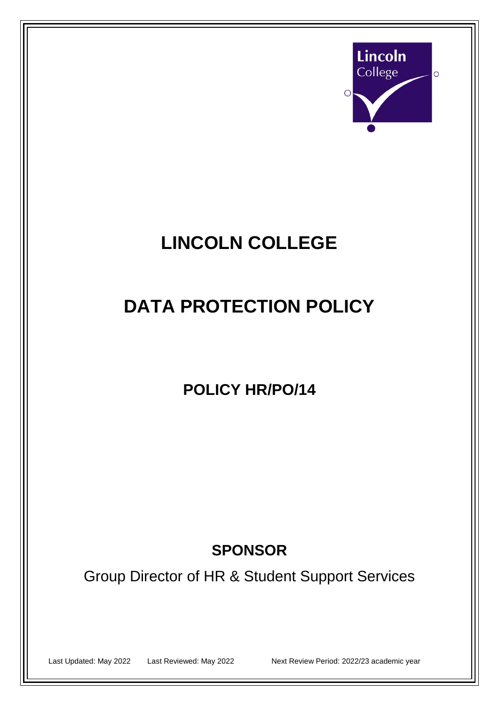

# **LINCOLN COLLEGE**

# **DATA PROTECTION POLICY**

# **POLICY HR/PO/14**

# **SPONSOR**

Group Director of HR & Student Support Services

Last Updated: May 2022 Last Reviewed: May 2022 Next Review Period: 2022/23 academic year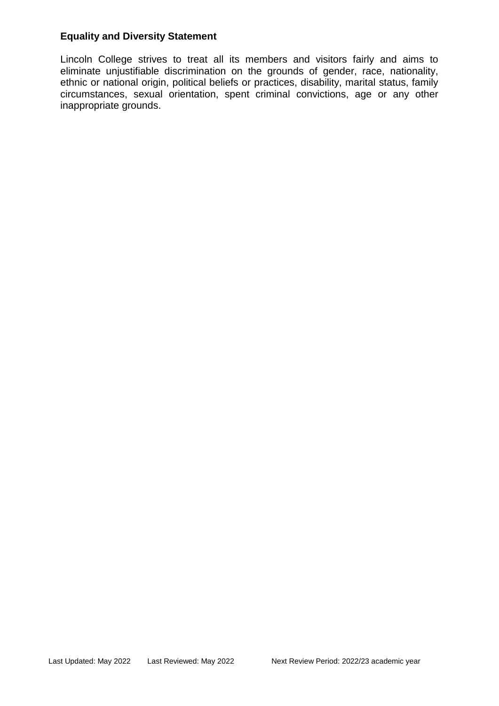#### **Equality and Diversity Statement**

Lincoln College strives to treat all its members and visitors fairly and aims to eliminate unjustifiable discrimination on the grounds of gender, race, nationality, ethnic or national origin, political beliefs or practices, disability, marital status, family circumstances, sexual orientation, spent criminal convictions, age or any other inappropriate grounds.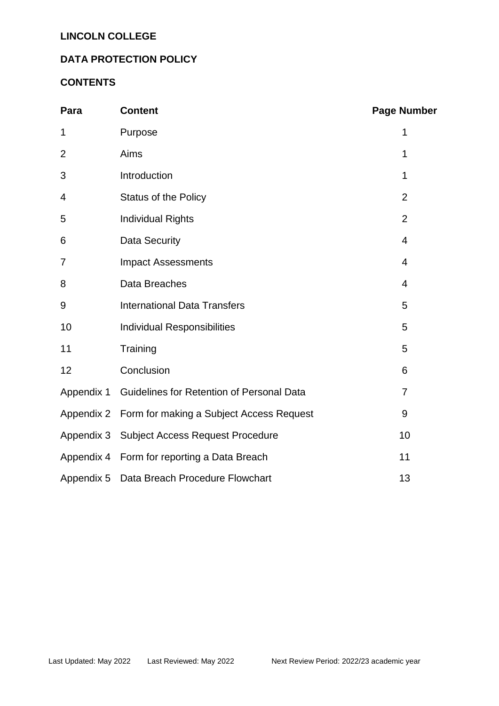## **LINCOLN COLLEGE**

# **DATA PROTECTION POLICY**

# **CONTENTS**

| Para           | <b>Content</b>                              | <b>Page Number</b> |
|----------------|---------------------------------------------|--------------------|
| 1              | Purpose                                     | 1                  |
| $\overline{2}$ | Aims                                        | 1                  |
| 3              | Introduction                                | 1                  |
| 4              | <b>Status of the Policy</b>                 | $\overline{2}$     |
| 5              | <b>Individual Rights</b>                    | $\overline{2}$     |
| 6              | <b>Data Security</b>                        | $\overline{4}$     |
| 7              | <b>Impact Assessments</b>                   | $\overline{4}$     |
| 8              | Data Breaches                               | $\overline{4}$     |
| 9              | <b>International Data Transfers</b>         | 5                  |
| 10             | <b>Individual Responsibilities</b>          | 5                  |
| 11             | Training                                    | 5                  |
| 12             | Conclusion                                  | 6                  |
| Appendix 1     | Guidelines for Retention of Personal Data   | $\overline{7}$     |
| Appendix 2     | Form for making a Subject Access Request    | 9                  |
| Appendix 3     | <b>Subject Access Request Procedure</b>     | 10                 |
|                | Appendix 4 Form for reporting a Data Breach | 11                 |
|                | Appendix 5 Data Breach Procedure Flowchart  | 13                 |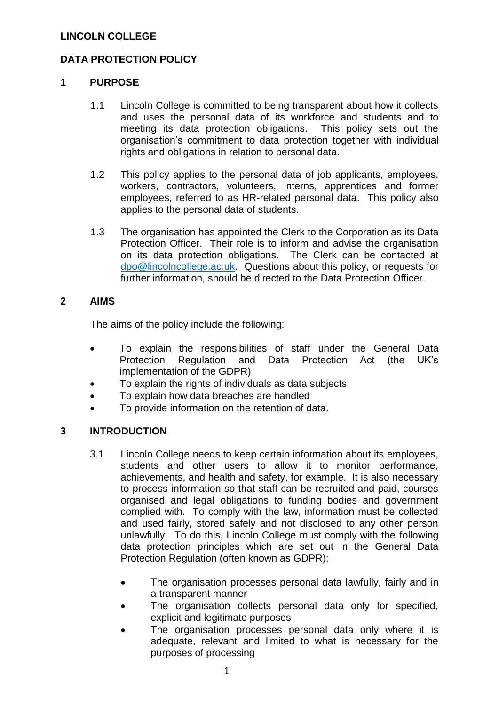#### **LINCOLN COLLEGE**

## **DATA PROTECTION POLICY**

### **1 PURPOSE**

- 1.1 Lincoln College is committed to being transparent about how it collects and uses the personal data of its workforce and students and to meeting its data protection obligations. This policy sets out the organisation's commitment to data protection together with individual rights and obligations in relation to personal data.
- 1.2 This policy applies to the personal data of job applicants, employees, workers, contractors, volunteers, interns, apprentices and former employees, referred to as HR-related personal data. This policy also applies to the personal data of students.
- 1.3 The organisation has appointed the Clerk to the Corporation as its Data Protection Officer. Their role is to inform and advise the organisation on its data protection obligations. The Clerk can be contacted at [dpo@lincolncollege.ac.uk.](mailto:dpo@lincolncollege.ac.uk) Questions about this policy, or requests for further information, should be directed to the Data Protection Officer.

### **2 AIMS**

The aims of the policy include the following:

- To explain the responsibilities of staff under the General Data Protection Regulation and Data Protection Act (the UK's implementation of the GDPR)
- To explain the rights of individuals as data subjects
- To explain how data breaches are handled
- To provide information on the retention of data.

### **3 INTRODUCTION**

- 3.1 Lincoln College needs to keep certain information about its employees, students and other users to allow it to monitor performance, achievements, and health and safety, for example. It is also necessary to process information so that staff can be recruited and paid, courses organised and legal obligations to funding bodies and government complied with. To comply with the law, information must be collected and used fairly, stored safely and not disclosed to any other person unlawfully. To do this, Lincoln College must comply with the following data protection principles which are set out in the General Data Protection Regulation (often known as GDPR):
	- The organisation processes personal data lawfully, fairly and in a transparent manner
	- The organisation collects personal data only for specified. explicit and legitimate purposes
	- The organisation processes personal data only where it is adequate, relevant and limited to what is necessary for the purposes of processing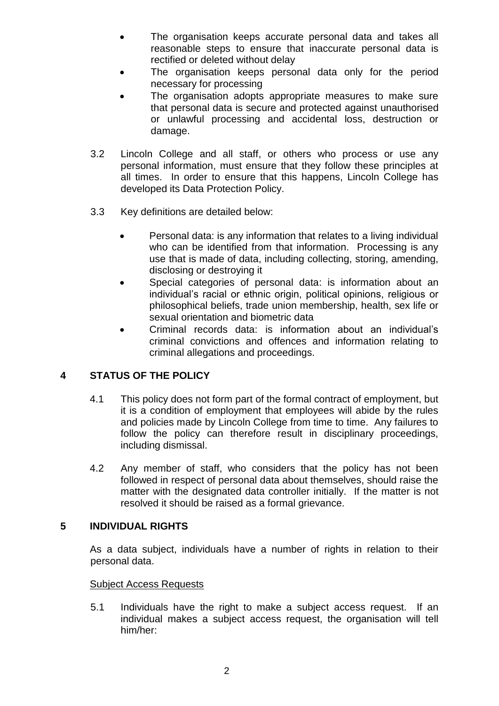- The organisation keeps accurate personal data and takes all reasonable steps to ensure that inaccurate personal data is rectified or deleted without delay
- The organisation keeps personal data only for the period necessary for processing
- The organisation adopts appropriate measures to make sure that personal data is secure and protected against unauthorised or unlawful processing and accidental loss, destruction or damage.
- 3.2 Lincoln College and all staff, or others who process or use any personal information, must ensure that they follow these principles at all times. In order to ensure that this happens, Lincoln College has developed its Data Protection Policy.
- 3.3 Key definitions are detailed below:
	- Personal data: is any information that relates to a living individual who can be identified from that information. Processing is any use that is made of data, including collecting, storing, amending, disclosing or destroying it
	- Special categories of personal data: is information about an individual's racial or ethnic origin, political opinions, religious or philosophical beliefs, trade union membership, health, sex life or sexual orientation and biometric data
	- Criminal records data: is information about an individual's criminal convictions and offences and information relating to criminal allegations and proceedings.

# **4 STATUS OF THE POLICY**

- 4.1 This policy does not form part of the formal contract of employment, but it is a condition of employment that employees will abide by the rules and policies made by Lincoln College from time to time. Any failures to follow the policy can therefore result in disciplinary proceedings, including dismissal.
- 4.2 Any member of staff, who considers that the policy has not been followed in respect of personal data about themselves, should raise the matter with the designated data controller initially. If the matter is not resolved it should be raised as a formal grievance.

### **5 INDIVIDUAL RIGHTS**

As a data subject, individuals have a number of rights in relation to their personal data.

#### Subject Access Requests

5.1 Individuals have the right to make a subject access request. If an individual makes a subject access request, the organisation will tell him/her: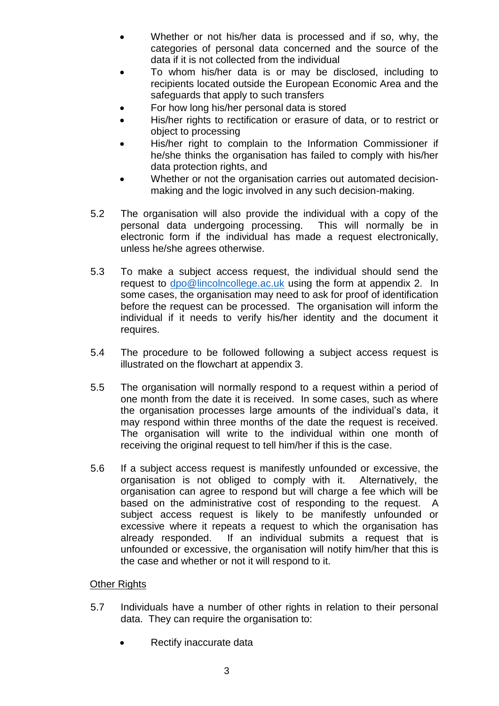- Whether or not his/her data is processed and if so, why, the categories of personal data concerned and the source of the data if it is not collected from the individual
- To whom his/her data is or may be disclosed, including to recipients located outside the European Economic Area and the safeguards that apply to such transfers
- For how long his/her personal data is stored
- His/her rights to rectification or erasure of data, or to restrict or object to processing
- His/her right to complain to the Information Commissioner if he/she thinks the organisation has failed to comply with his/her data protection rights, and
- Whether or not the organisation carries out automated decisionmaking and the logic involved in any such decision-making.
- 5.2 The organisation will also provide the individual with a copy of the personal data undergoing processing. This will normally be in electronic form if the individual has made a request electronically, unless he/she agrees otherwise.
- 5.3 To make a subject access request, the individual should send the request to [dpo@lincolncollege.ac.uk](mailto:dpo@lincolncollege.ac.uk) using the form at appendix 2. In some cases, the organisation may need to ask for proof of identification before the request can be processed. The organisation will inform the individual if it needs to verify his/her identity and the document it requires.
- 5.4 The procedure to be followed following a subject access request is illustrated on the flowchart at appendix 3.
- 5.5 The organisation will normally respond to a request within a period of one month from the date it is received. In some cases, such as where the organisation processes large amounts of the individual's data, it may respond within three months of the date the request is received. The organisation will write to the individual within one month of receiving the original request to tell him/her if this is the case.
- 5.6 If a subject access request is manifestly unfounded or excessive, the organisation is not obliged to comply with it. Alternatively, the organisation can agree to respond but will charge a fee which will be based on the administrative cost of responding to the request. A subject access request is likely to be manifestly unfounded or excessive where it repeats a request to which the organisation has already responded. If an individual submits a request that is unfounded or excessive, the organisation will notify him/her that this is the case and whether or not it will respond to it.

# Other Rights

- 5.7 Individuals have a number of other rights in relation to their personal data. They can require the organisation to:
	- Rectify inaccurate data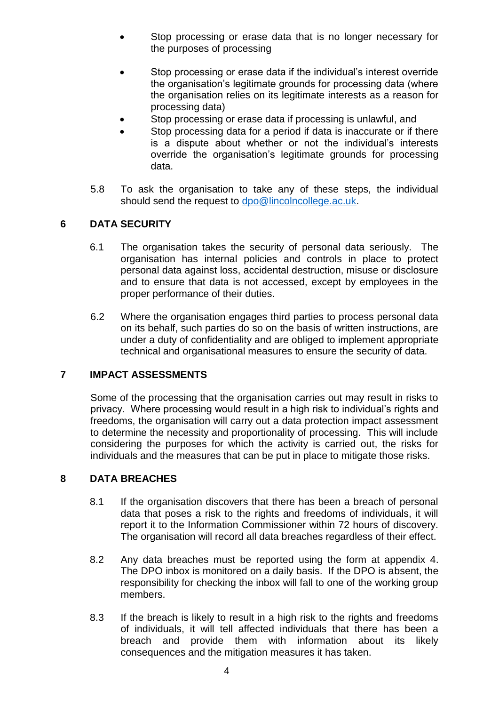- Stop processing or erase data that is no longer necessary for the purposes of processing
- Stop processing or erase data if the individual's interest override the organisation's legitimate grounds for processing data (where the organisation relies on its legitimate interests as a reason for processing data)
- Stop processing or erase data if processing is unlawful, and
- Stop processing data for a period if data is inaccurate or if there is a dispute about whether or not the individual's interests override the organisation's legitimate grounds for processing data.
- 5.8 To ask the organisation to take any of these steps, the individual should send the request to [dpo@lincolncollege.ac.uk.](mailto:dpo@lincolncollege.ac.uk)

# **6 DATA SECURITY**

- 6.1 The organisation takes the security of personal data seriously. The organisation has internal policies and controls in place to protect personal data against loss, accidental destruction, misuse or disclosure and to ensure that data is not accessed, except by employees in the proper performance of their duties.
- 6.2 Where the organisation engages third parties to process personal data on its behalf, such parties do so on the basis of written instructions, are under a duty of confidentiality and are obliged to implement appropriate technical and organisational measures to ensure the security of data.

## **7 IMPACT ASSESSMENTS**

Some of the processing that the organisation carries out may result in risks to privacy. Where processing would result in a high risk to individual's rights and freedoms, the organisation will carry out a data protection impact assessment to determine the necessity and proportionality of processing. This will include considering the purposes for which the activity is carried out, the risks for individuals and the measures that can be put in place to mitigate those risks.

### **8 DATA BREACHES**

- 8.1 If the organisation discovers that there has been a breach of personal data that poses a risk to the rights and freedoms of individuals, it will report it to the Information Commissioner within 72 hours of discovery. The organisation will record all data breaches regardless of their effect.
- 8.2 Any data breaches must be reported using the form at appendix 4. The DPO inbox is monitored on a daily basis. If the DPO is absent, the responsibility for checking the inbox will fall to one of the working group members.
- 8.3 If the breach is likely to result in a high risk to the rights and freedoms of individuals, it will tell affected individuals that there has been a breach and provide them with information about its likely consequences and the mitigation measures it has taken.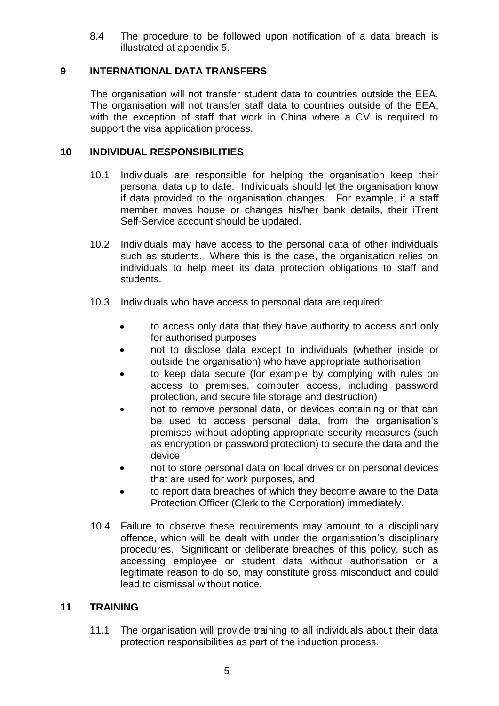8.4 The procedure to be followed upon notification of a data breach is illustrated at appendix 5.

# **9 INTERNATIONAL DATA TRANSFERS**

The organisation will not transfer student data to countries outside the EEA. The organisation will not transfer staff data to countries outside of the EEA, with the exception of staff that work in China where a CV is required to support the visa application process.

#### **10 INDIVIDUAL RESPONSIBILITIES**

- 10.1 Individuals are responsible for helping the organisation keep their personal data up to date. Individuals should let the organisation know if data provided to the organisation changes. For example, if a staff member moves house or changes his/her bank details, their iTrent Self-Service account should be updated.
- 10.2 Individuals may have access to the personal data of other individuals such as students. Where this is the case, the organisation relies on individuals to help meet its data protection obligations to staff and students.
- 10.3 Individuals who have access to personal data are required:
	- to access only data that they have authority to access and only for authorised purposes
	- not to disclose data except to individuals (whether inside or outside the organisation) who have appropriate authorisation
	- to keep data secure (for example by complying with rules on access to premises, computer access, including password protection, and secure file storage and destruction)
	- not to remove personal data, or devices containing or that can be used to access personal data, from the organisation's premises without adopting appropriate security measures (such as encryption or password protection) to secure the data and the device
	- not to store personal data on local drives or on personal devices that are used for work purposes, and
	- to report data breaches of which they become aware to the Data Protection Officer (Clerk to the Corporation) immediately.
- 10.4 Failure to observe these requirements may amount to a disciplinary offence, which will be dealt with under the organisation's disciplinary procedures. Significant or deliberate breaches of this policy, such as accessing employee or student data without authorisation or a legitimate reason to do so, may constitute gross misconduct and could lead to dismissal without notice.

### **11 TRAINING**

11.1 The organisation will provide training to all individuals about their data protection responsibilities as part of the induction process.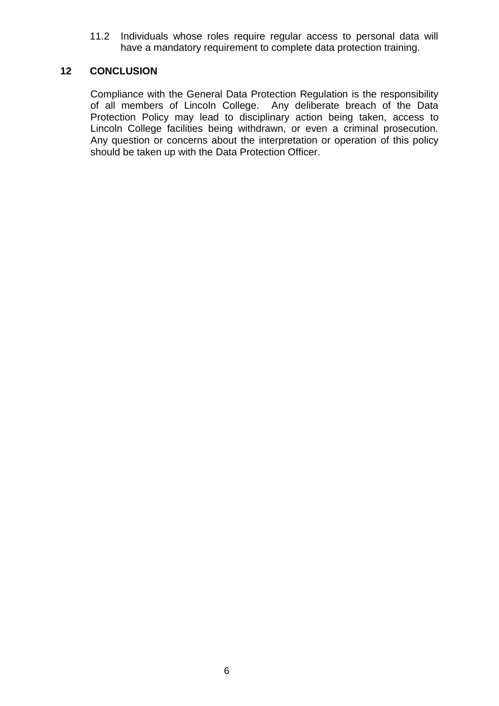11.2 Individuals whose roles require regular access to personal data will have a mandatory requirement to complete data protection training.

# **12 CONCLUSION**

Compliance with the General Data Protection Regulation is the responsibility of all members of Lincoln College. Any deliberate breach of the Data Protection Policy may lead to disciplinary action being taken, access to Lincoln College facilities being withdrawn, or even a criminal prosecution. Any question or concerns about the interpretation or operation of this policy should be taken up with the Data Protection Officer.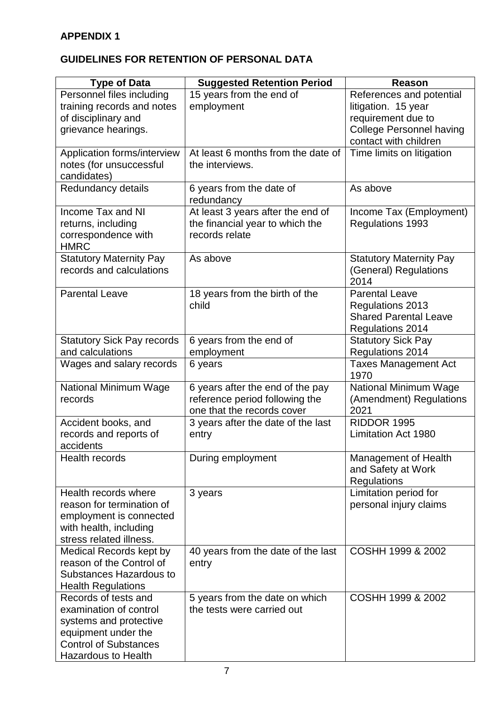# **GUIDELINES FOR RETENTION OF PERSONAL DATA**

| <b>Type of Data</b>                                        | <b>Suggested Retention Period</b>       | <b>Reason</b>                                           |
|------------------------------------------------------------|-----------------------------------------|---------------------------------------------------------|
| Personnel files including                                  | 15 years from the end of                | References and potential                                |
| training records and notes                                 | employment                              | litigation. 15 year                                     |
| of disciplinary and                                        |                                         | requirement due to                                      |
| grievance hearings.                                        |                                         | <b>College Personnel having</b>                         |
|                                                            |                                         | contact with children                                   |
| Application forms/interview                                | At least 6 months from the date of      | Time limits on litigation                               |
| notes (for unsuccessful                                    | the interviews.                         |                                                         |
| candidates)                                                |                                         |                                                         |
| Redundancy details                                         | 6 years from the date of                | As above                                                |
|                                                            | redundancy                              |                                                         |
| Income Tax and NI                                          | At least 3 years after the end of       | Income Tax (Employment)                                 |
| returns, including                                         | the financial year to which the         | <b>Regulations 1993</b>                                 |
| correspondence with                                        | records relate                          |                                                         |
| <b>HMRC</b>                                                |                                         |                                                         |
| <b>Statutory Maternity Pay</b><br>records and calculations | As above                                | <b>Statutory Maternity Pay</b>                          |
|                                                            |                                         | (General) Regulations<br>2014                           |
| <b>Parental Leave</b>                                      |                                         | <b>Parental Leave</b>                                   |
|                                                            | 18 years from the birth of the<br>child |                                                         |
|                                                            |                                         | <b>Regulations 2013</b><br><b>Shared Parental Leave</b> |
|                                                            |                                         |                                                         |
|                                                            | 6 years from the end of                 | <b>Regulations 2014</b><br><b>Statutory Sick Pay</b>    |
| <b>Statutory Sick Pay records</b><br>and calculations      | employment                              | <b>Regulations 2014</b>                                 |
| Wages and salary records                                   | 6 years                                 | <b>Taxes Management Act</b>                             |
|                                                            |                                         | 1970                                                    |
| National Minimum Wage                                      | 6 years after the end of the pay        | National Minimum Wage                                   |
| records                                                    | reference period following the          | (Amendment) Regulations                                 |
|                                                            | one that the records cover              | 2021                                                    |
| Accident books, and                                        | 3 years after the date of the last      | RIDDOR 1995                                             |
| records and reports of                                     | entry                                   | <b>Limitation Act 1980</b>                              |
| accidents                                                  |                                         |                                                         |
| <b>Health records</b>                                      | During employment                       | <b>Management of Health</b>                             |
|                                                            |                                         | and Safety at Work                                      |
|                                                            |                                         | Regulations                                             |
| Health records where                                       | 3 years                                 | Limitation period for                                   |
| reason for termination of                                  |                                         | personal injury claims                                  |
| employment is connected                                    |                                         |                                                         |
| with health, including                                     |                                         |                                                         |
| stress related illness.                                    |                                         |                                                         |
| Medical Records kept by                                    | 40 years from the date of the last      | COSHH 1999 & 2002                                       |
| reason of the Control of                                   | entry                                   |                                                         |
| Substances Hazardous to                                    |                                         |                                                         |
| <b>Health Regulations</b>                                  |                                         |                                                         |
| Records of tests and                                       | 5 years from the date on which          | COSHH 1999 & 2002                                       |
| examination of control                                     | the tests were carried out              |                                                         |
| systems and protective                                     |                                         |                                                         |
| equipment under the                                        |                                         |                                                         |
| <b>Control of Substances</b>                               |                                         |                                                         |
| <b>Hazardous to Health</b>                                 |                                         |                                                         |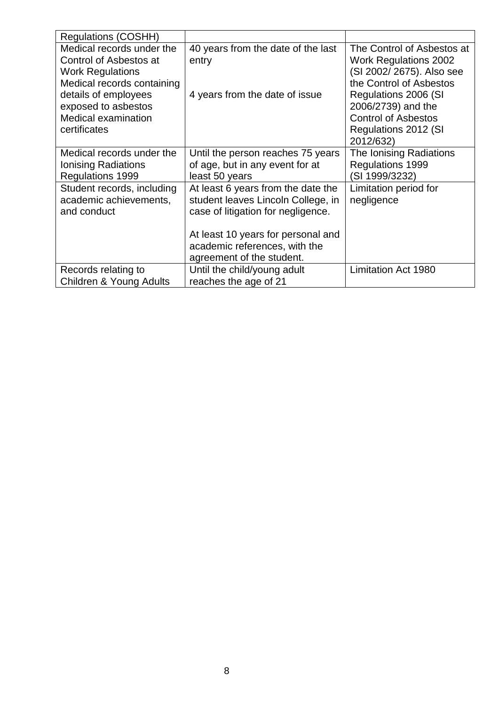| <b>Regulations (COSHH)</b>                                                                                   |                                                                                                                                                      |                                                                                                                    |
|--------------------------------------------------------------------------------------------------------------|------------------------------------------------------------------------------------------------------------------------------------------------------|--------------------------------------------------------------------------------------------------------------------|
| Medical records under the<br>Control of Asbestos at<br><b>Work Regulations</b><br>Medical records containing | 40 years from the date of the last<br>entry                                                                                                          | The Control of Asbestos at<br><b>Work Regulations 2002</b><br>(SI 2002/ 2675). Also see<br>the Control of Asbestos |
| details of employees<br>exposed to asbestos<br><b>Medical examination</b><br>certificates                    | 4 years from the date of issue                                                                                                                       | Regulations 2006 (SI<br>2006/2739) and the<br><b>Control of Asbestos</b><br>Regulations 2012 (SI<br>2012/632)      |
| Medical records under the<br>Ionising Radiations<br><b>Regulations 1999</b>                                  | Until the person reaches 75 years<br>of age, but in any event for at<br>least 50 years                                                               | The Ionising Radiations<br><b>Regulations 1999</b><br>(SI 1999/3232)                                               |
| Student records, including<br>academic achievements,<br>and conduct                                          | At least 6 years from the date the<br>student leaves Lincoln College, in<br>case of litigation for negligence.<br>At least 10 years for personal and | Limitation period for<br>negligence                                                                                |
|                                                                                                              | academic references, with the<br>agreement of the student.                                                                                           |                                                                                                                    |
| Records relating to<br>Children & Young Adults                                                               | Until the child/young adult<br>reaches the age of 21                                                                                                 | <b>Limitation Act 1980</b>                                                                                         |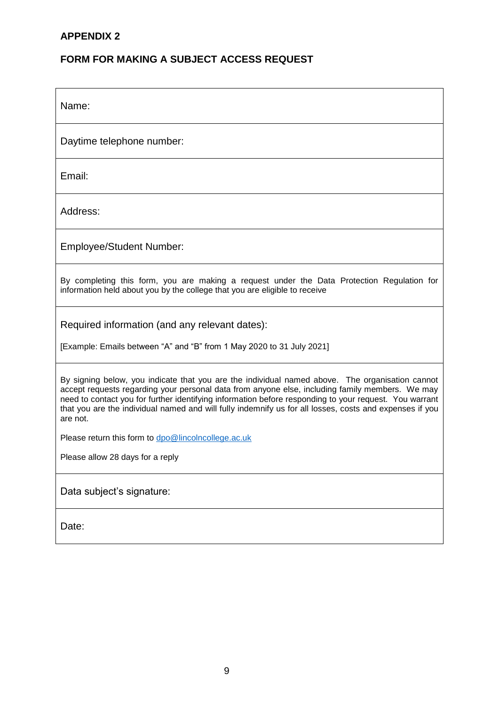# **FORM FOR MAKING A SUBJECT ACCESS REQUEST**

| Name:                                                                                                                                                                                                                                                                                                                                                                                                                               |  |  |
|-------------------------------------------------------------------------------------------------------------------------------------------------------------------------------------------------------------------------------------------------------------------------------------------------------------------------------------------------------------------------------------------------------------------------------------|--|--|
| Daytime telephone number:                                                                                                                                                                                                                                                                                                                                                                                                           |  |  |
| Email:                                                                                                                                                                                                                                                                                                                                                                                                                              |  |  |
| Address:                                                                                                                                                                                                                                                                                                                                                                                                                            |  |  |
| <b>Employee/Student Number:</b>                                                                                                                                                                                                                                                                                                                                                                                                     |  |  |
| By completing this form, you are making a request under the Data Protection Regulation for<br>information held about you by the college that you are eligible to receive                                                                                                                                                                                                                                                            |  |  |
| Required information (and any relevant dates):<br>[Example: Emails between "A" and "B" from 1 May 2020 to 31 July 2021]                                                                                                                                                                                                                                                                                                             |  |  |
| By signing below, you indicate that you are the individual named above. The organisation cannot<br>accept requests regarding your personal data from anyone else, including family members. We may<br>need to contact you for further identifying information before responding to your request. You warrant<br>that you are the individual named and will fully indemnify us for all losses, costs and expenses if you<br>are not. |  |  |
| Please return this form to dpo@lincolncollege.ac.uk                                                                                                                                                                                                                                                                                                                                                                                 |  |  |
| Please allow 28 days for a reply                                                                                                                                                                                                                                                                                                                                                                                                    |  |  |
| Data subject's signature:                                                                                                                                                                                                                                                                                                                                                                                                           |  |  |
| Date:                                                                                                                                                                                                                                                                                                                                                                                                                               |  |  |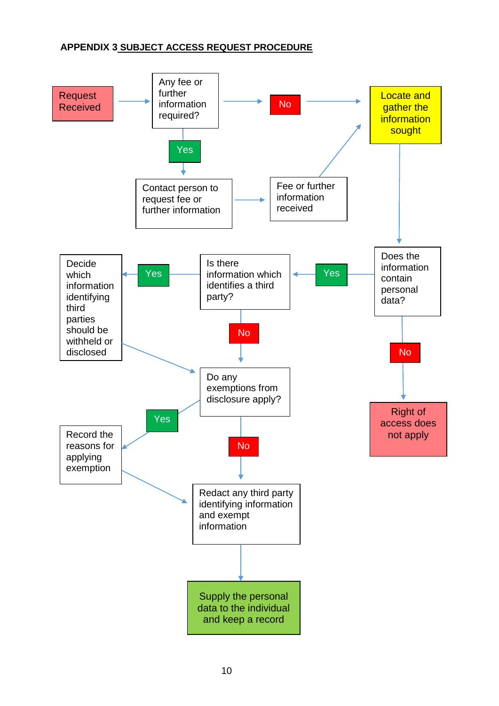# **APPENDIX 3 SUBJECT ACCESS REQUEST PROCEDURE**

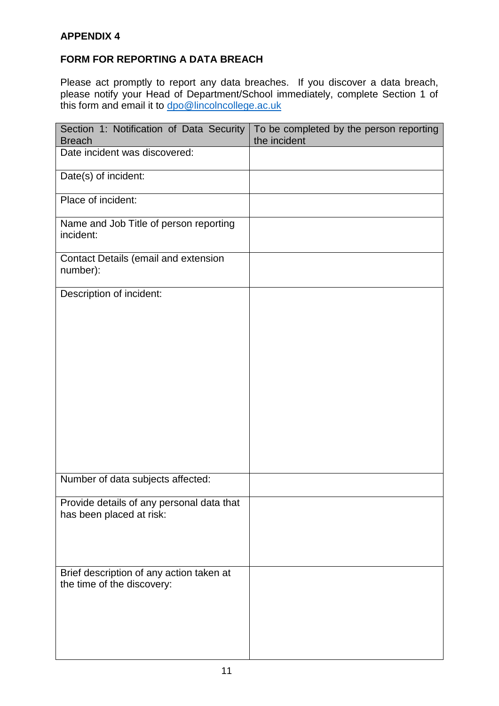# **FORM FOR REPORTING A DATA BREACH**

Please act promptly to report any data breaches. If you discover a data breach, please notify your Head of Department/School immediately, complete Section 1 of this form and email it to [dpo@lincolncollege.ac.uk](mailto:dpo@lincolncollege.ac.uk)

| Section 1: Notification of Data Security<br><b>Breach</b>              | To be completed by the person reporting<br>the incident |
|------------------------------------------------------------------------|---------------------------------------------------------|
| Date incident was discovered:                                          |                                                         |
| Date(s) of incident:                                                   |                                                         |
| Place of incident:                                                     |                                                         |
| Name and Job Title of person reporting<br>incident:                    |                                                         |
| Contact Details (email and extension<br>number):                       |                                                         |
| Description of incident:                                               |                                                         |
|                                                                        |                                                         |
|                                                                        |                                                         |
|                                                                        |                                                         |
|                                                                        |                                                         |
|                                                                        |                                                         |
|                                                                        |                                                         |
| Number of data subjects affected:                                      |                                                         |
| Provide details of any personal data that<br>has been placed at risk:  |                                                         |
|                                                                        |                                                         |
| Brief description of any action taken at<br>the time of the discovery: |                                                         |
|                                                                        |                                                         |
|                                                                        |                                                         |
|                                                                        |                                                         |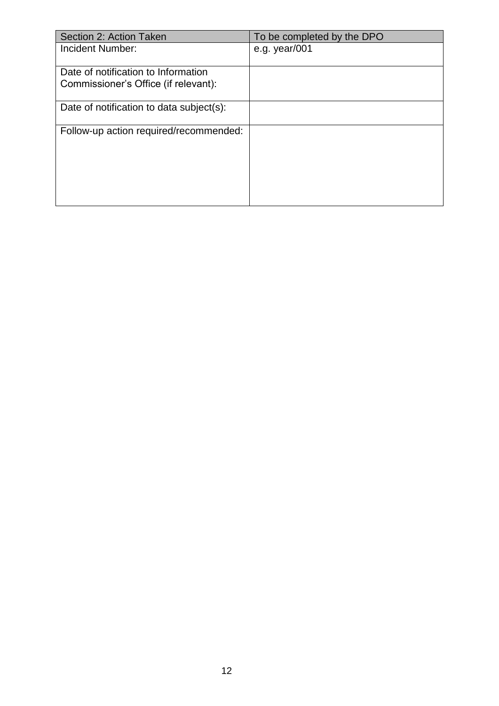| Section 2: Action Taken                                                     | To be completed by the DPO |
|-----------------------------------------------------------------------------|----------------------------|
| Incident Number:                                                            | e.g. year/001              |
| Date of notification to Information<br>Commissioner's Office (if relevant): |                            |
| Date of notification to data subject(s):                                    |                            |
| Follow-up action required/recommended:                                      |                            |